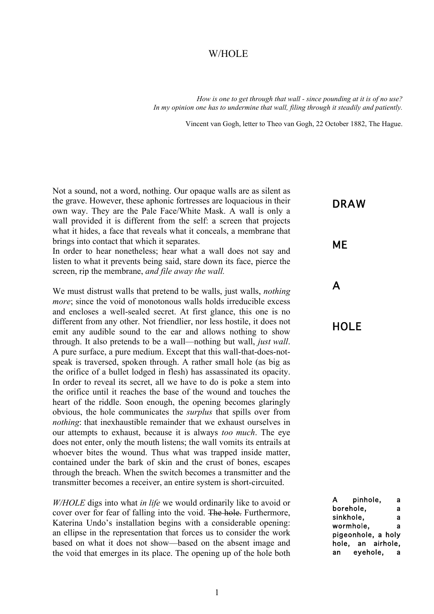#### W/HOLE

*How is one to get through that wall - since pounding at it is of no use? In my opinion one has to undermine that wall, filing through it steadily and patiently.*

Vincent van Gogh, letter to Theo van Gogh, 22 October 1882, The Hague.

Not a sound, not a word, nothing. Our opaque walls are as silent as the grave. However, these aphonic fortresses are loquacious in their own way. They are the Pale Face/White Mask. A wall is only a wall provided it is different from the self: a screen that projects what it hides, a face that reveals what it conceals, a membrane that brings into contact that which it separates.

In order to hear nonetheless; hear what a wall does not say and listen to what it prevents being said, stare down its face, pierce the screen, rip the membrane, *and file away the wall.*

We must distrust walls that pretend to be walls, just walls, *nothing more*; since the void of monotonous walls holds irreducible excess and encloses a well-sealed secret. At first glance, this one is no different from any other. Not friendlier, nor less hostile, it does not emit any audible sound to the ear and allows nothing to show through. It also pretends to be a wall—nothing but wall, *just wall*. A pure surface, a pure medium. Except that this wall-that-does-notspeak is traversed, spoken through. A rather small hole (as big as the orifice of a bullet lodged in flesh) has assassinated its opacity. In order to reveal its secret, all we have to do is poke a stem into the orifice until it reaches the base of the wound and touches the heart of the riddle. Soon enough, the opening becomes glaringly obvious, the hole communicates the *surplus* that spills over from *nothing*: that inexhaustible remainder that we exhaust ourselves in our attempts to exhaust, because it is always *too much*. The eye does not enter, only the mouth listens; the wall vomits its entrails at whoever bites the wound. Thus what was trapped inside matter, contained under the bark of skin and the crust of bones, escapes through the breach. When the switch becomes a transmitter and the transmitter becomes a receiver, an entire system is short-circuited.

*W/HOLE* digs into what *in life* we would ordinarily like to avoid or cover over for fear of falling into the void. The hole. Furthermore, Katerina Undo's installation begins with a considerable opening: an ellipse in the representation that forces us to consider the work based on what it does not show—based on the absent image and the void that emerges in its place. The opening up of the hole both

### DRAW

# ME

# A

### **HOLE**

A pinhole, a borehole, a sinkhole, a wormhole. a pigeonhole, a holy hole, an airhole, an eyehole, a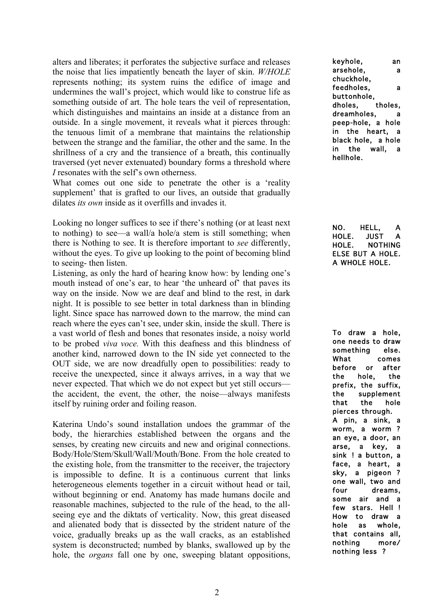alters and liberates; it perforates the subjective surface and releases the noise that lies impatiently beneath the layer of skin. *W/HOLE*  represents nothing; its system ruins the edifice of image and undermines the wall's project, which would like to construe life as something outside of art. The hole tears the veil of representation, which distinguishes and maintains an inside at a distance from an outside. In a single movement, it reveals what it pierces through: the tenuous limit of a membrane that maintains the relationship between the strange and the familiar, the other and the same. In the shrillness of a cry and the transience of a breath, this continually traversed (yet never extenuated) boundary forms a threshold where *I* resonates with the self's own otherness.

What comes out one side to penetrate the other is a 'reality supplement' that is grafted to our lives, an outside that gradually dilates *its own* inside as it overfills and invades it.

Looking no longer suffices to see if there's nothing (or at least next to nothing) to see—a wall/a hole/a stem is still something; when there is Nothing to see. It is therefore important to *see* differently, without the eyes. To give up looking to the point of becoming blind to seeing- then listen.

Listening, as only the hard of hearing know how: by lending one's mouth instead of one's ear, to hear 'the unheard of' that paves its way on the inside. Now we are deaf and blind to the rest, in dark night. It is possible to see better in total darkness than in blinding light. Since space has narrowed down to the marrow*,* the mind can reach where the eyes can't see, under skin, inside the skull. There is a vast world of flesh and bones that resonates inside, a noisy world to be probed *viva voce.* With this deafness and this blindness of another kind, narrowed down to the IN side yet connected to the OUT side, we are now dreadfully open to possibilities: ready to receive the unexpected, since it always arrives, in a way that we never expected. That which we do not expect but yet still occurs the accident, the event, the other, the noise—always manifests itself by ruining order and foiling reason.

Katerina Undo's sound installation undoes the grammar of the body, the hierarchies established between the organs and the senses, by creating new circuits and new and original connections. Body/Hole/Stem/Skull/Wall/Mouth/Bone. From the hole created to the existing hole, from the transmitter to the receiver, the trajectory is impossible to define. It is a continuous current that links heterogeneous elements together in a circuit without head or tail, without beginning or end. Anatomy has made humans docile and reasonable machines, subjected to the rule of the head, to the allseeing eye and the diktats of verticality. Now, this great diseased and alienated body that is dissected by the strident nature of the voice, gradually breaks up as the wall cracks, as an established system is deconstructed; numbed by blanks, swallowed up by the hole, the *organs* fall one by one, sweeping blatant oppositions, keyhole, an arsehole, a chuckhole, feedholes, a buttonhole, dholes, tholes, dreamholes, peep-hole, a hole in the heart, a black hole, a hole in the wall, a hellhole.

NO. HELL, A HOLE. JUST A HOLE. NOTHING ELSE BUT A HOLE. A WHOLE HOLE.

To draw a hole, one needs to draw something else. What comes before or after the hole, the prefix, the suffix, the supplement that the hole pierces through. A pin, a sink, a worm, a worm ? an eye, a door, an arse, a key, a sink ! a button, a face, a heart, a sky, a pigeon ? one wall, two and four dreams, some air and a few stars. Hell ! How to draw a hole as whole, that contains all, nothing more/ nothing less ?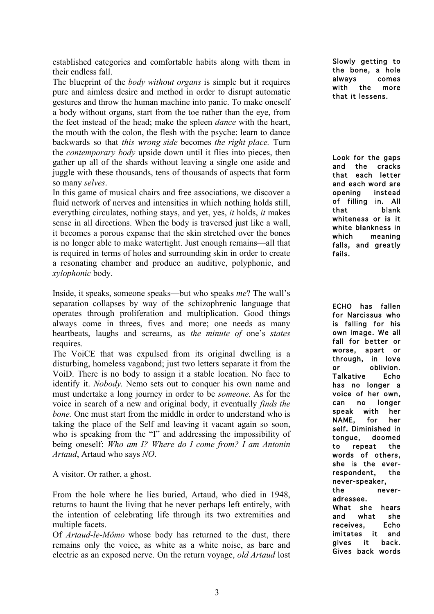established categories and comfortable habits along with them in their endless fall.

The blueprint of the *body without organs* is simple but it requires pure and aimless desire and method in order to disrupt automatic gestures and throw the human machine into panic. To make oneself a body without organs, start from the toe rather than the eye, from the feet instead of the head; make the spleen *dance* with the heart, the mouth with the colon, the flesh with the psyche: learn to dance backwards so that *this wrong side* becomes *the right place.* Turn the *contemporary body* upside down until it flies into pieces, then gather up all of the shards without leaving a single one aside and juggle with these thousands, tens of thousands of aspects that form so many *selves*.

In this game of musical chairs and free associations, we discover a fluid network of nerves and intensities in which nothing holds still, everything circulates, nothing stays, and yet, yes, *it* holds, *it* makes sense in all directions. When the body is traversed just like a wall, it becomes a porous expanse that the skin stretched over the bones is no longer able to make watertight. Just enough remains—all that is required in terms of holes and surrounding skin in order to create a resonating chamber and produce an auditive, polyphonic, and *xylophonic* body.

Inside, it speaks, someone speaks—but who speaks *me*? The wall's separation collapses by way of the schizophrenic language that operates through proliferation and multiplication. Good things always come in threes, fives and more; one needs as many heartbeats, laughs and screams, as *the minute of* one's *states* requires.

The VoiCE that was expulsed from its original dwelling is a disturbing, homeless vagabond; just two letters separate it from the VoiD. There is no body to assign it a stable location. No face to identify it. *Nobody.* Nemo sets out to conquer his own name and must undertake a long journey in order to be *someone.* As for the voice in search of a new and original body, it eventually *finds the bone.* One must start from the middle in order to understand who is taking the place of the Self and leaving it vacant again so soon, who is speaking from the "I" and addressing the impossibility of being oneself: *Who am I? Where do I come from? I am Antonin Artaud*, Artaud who says *NO*.

A visitor. Or rather, a ghost.

From the hole where he lies buried, Artaud, who died in 1948, returns to haunt the living that he never perhaps left entirely, with the intention of celebrating life through its two extremities and multiple facets.

Of *Artaud-le-Mômo* whose body has returned to the dust, there remains only the voice, as white as a white noise, as bare and electric as an exposed nerve. On the return voyage, *old Artaud* lost Slowly getting to the bone, a hole always comes with the more that it lessens.

Look for the gaps and the cracks that each letter and each word are opening instead of filling in. All that blank whiteness or is it white blankness in which meaning falls, and greatly fails.

ECHO has fallen for Narcissus who is falling for his own image. We all fall for better or worse, apart or through, in love or oblivion. Talkative Echo has no longer a voice of her own, can no longer speak with her NAME, for her self. Diminished in tongue, doomed to repeat the words of others, she is the everrespondent, the never-speaker, the neveradressee. What she hears and what she receives, Echo imitates it and gives it back. Gives back words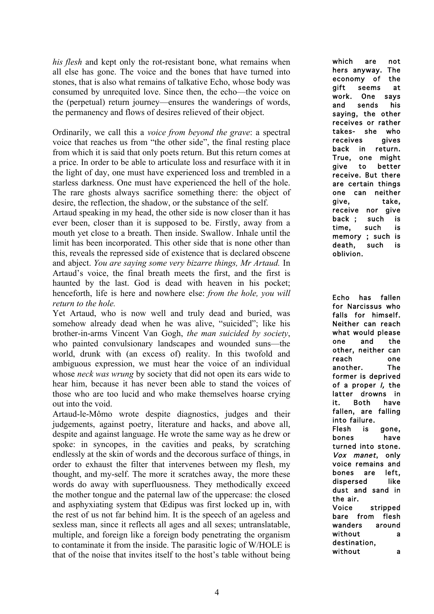*his flesh* and kept only the rot-resistant bone, what remains when all else has gone. The voice and the bones that have turned into stones, that is also what remains of talkative Echo, whose body was consumed by unrequited love. Since then, the echo—the voice on the (perpetual) return journey—ensures the wanderings of words, the permanency and flows of desires relieved of their object.

Ordinarily, we call this a *voice from beyond the grave*: a spectral voice that reaches us from "the other side", the final resting place from which it is said that only poets return. But this return comes at a price. In order to be able to articulate loss and resurface with it in the light of day, one must have experienced loss and trembled in a starless darkness. One must have experienced the hell of the hole. The rare ghosts always sacrifice something there: the object of desire, the reflection, the shadow, or the substance of the self.

Artaud speaking in my head, the other side is now closer than it has ever been, closer than it is supposed to be. Firstly, away from a mouth yet close to a breath. Then inside. Swallow. Inhale until the limit has been incorporated. This other side that is none other than this, reveals the repressed side of existence that is declared obscene and abject. *You are saying some very bizarre things, Mr Artaud.* In Artaud's voice, the final breath meets the first, and the first is haunted by the last. God is dead with heaven in his pocket; henceforth, life is here and nowhere else: *from the hole, you will return to the hole.* 

Yet Artaud, who is now well and truly dead and buried, was somehow already dead when he was alive, "suicided"; like his brother-in-arms Vincent Van Gogh, *the man suicided by society*, who painted convulsionary landscapes and wounded suns—the world, drunk with (an excess of) reality. In this twofold and ambiguous expression, we must hear the voice of an individual whose *neck was wrung* by society that did not open its ears wide to hear him, because it has never been able to stand the voices of those who are too lucid and who make themselves hoarse crying out into the void.

Artaud-le-Mômo wrote despite diagnostics, judges and their judgements, against poetry, literature and hacks, and above all, despite and against language. He wrote the same way as he drew or spoke: in syncopes, in the cavities and peaks, by scratching endlessly at the skin of words and the decorous surface of things, in order to exhaust the filter that intervenes between my flesh, my thought, and my-self. The more it scratches away, the more these words do away with superfluousness. They methodically exceed the mother tongue and the paternal law of the uppercase: the closed and asphyxiating system that Œdipus was first locked up in, with the rest of us not far behind him. It is the speech of an ageless and sexless man, since it reflects all ages and all sexes; untranslatable, multiple, and foreign like a foreign body penetrating the organism to contaminate it from the inside. The parasitic logic of W/HOLE is that of the noise that invites itself to the host's table without being which are not hers anyway. The economy of the gift seems at work. One says and sends his saying, the other receives or rather takes- she who receives gives back in return. True, one might give to better receive. But there are certain things one can neither give, take, receive nor give back ; such is time, such is memory ; such is death, such is oblivion.

Echo has fallen for Narcissus who falls for himself. Neither can reach what would please one and the other, neither can reach one another. The former is deprived of a proper I, the latter drowns in it. Both have fallen, are falling into failure. Flesh is gone, bones have turned into stone. Vox manet, only voice remains and bones are left, dispersed like dust and sand in the air. Voice stripped bare from flesh wanders around without a destination, without a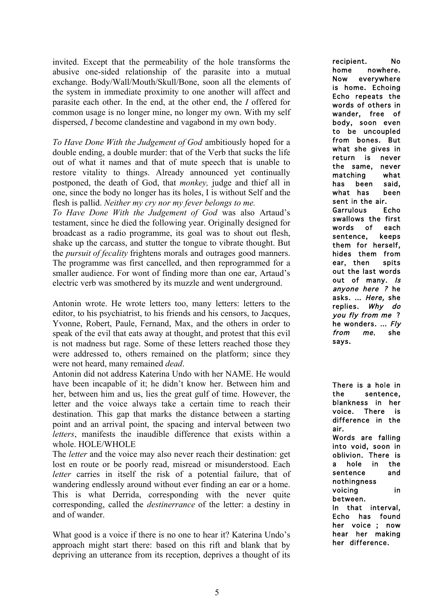invited. Except that the permeability of the hole transforms the abusive one-sided relationship of the parasite into a mutual exchange. Body/Wall/Mouth/Skull/Bone, soon all the elements of the system in immediate proximity to one another will affect and parasite each other. In the end, at the other end, the *I* offered for common usage is no longer mine, no longer my own. With my self dispersed, *I* become clandestine and vagabond in my own body.

*To Have Done With the Judgement of God* ambitiously hoped for a double ending, a double murder: that of the Verb that sucks the life out of what it names and that of mute speech that is unable to restore vitality to things. Already announced yet continually postponed, the death of God, that *monkey,* judge and thief all in one, since the body no longer has its holes, I is without Self and the flesh is pallid. *Neither my cry nor my fever belongs to me.* 

*To Have Done With the Judgement of God* was also Artaud's testament, since he died the following year. Originally designed for broadcast as a radio programme, its goal was to shout out flesh, shake up the carcass, and stutter the tongue to vibrate thought. But the *pursuit of fecality* frightens morals and outrages good manners. The programme was first cancelled, and then reprogrammed for a smaller audience. For wont of finding more than one ear, Artaud's electric verb was smothered by its muzzle and went underground.

Antonin wrote. He wrote letters too, many letters: letters to the editor, to his psychiatrist, to his friends and his censors, to Jacques, Yvonne, Robert, Paule, Fernand, Max, and the others in order to speak of the evil that eats away at thought, and protest that this evil is not madness but rage. Some of these letters reached those they were addressed to, others remained on the platform; since they were not heard, many remained *dead*.

Antonin did not address Katerina Undo with her NAME. He would have been incapable of it; he didn't know her. Between him and her, between him and us, lies the great gulf of time. However, the letter and the voice always take a certain time to reach their destination. This gap that marks the distance between a starting point and an arrival point, the spacing and interval between two *letters*, manifests the inaudible difference that exists within a whole. HOLE/WHOLE

The *letter* and the voice may also never reach their destination: get lost en route or be poorly read, misread or misunderstood. Each *letter* carries in itself the risk of a potential failure, that of wandering endlessly around without ever finding an ear or a home. This is what Derrida, corresponding with the never quite corresponding, called the *destinerrance* of the letter: a destiny in and of wander.

What good is a voice if there is no one to hear it? Katerina Undo's approach might start there: based on this rift and blank that by depriving an utterance from its reception, deprives a thought of its recipient. No home nowhere. Now everywhere is home. Echoing Echo repeats the words of others in wander, free of body, soon even to be uncoupled from bones. But what she gives in return is never the same, never matching what has been said, what has been sent in the air. Garrulous Echo swallows the first words of each sentence, keeps them for herself, hides them from ear, then spits out the last words out of many. Is anyone here ? he asks. … Here, she replies. Why do you fly from me ? he wonders. … Fly from me, she says.

There is a hole in the sentence, blankness in her voice. There is difference in the air. Words are falling into void, soon in oblivion. There is a hole in the sentence and nothingness voicing in between. In that interval, Echo has found her voice ; now hear her making her difference.